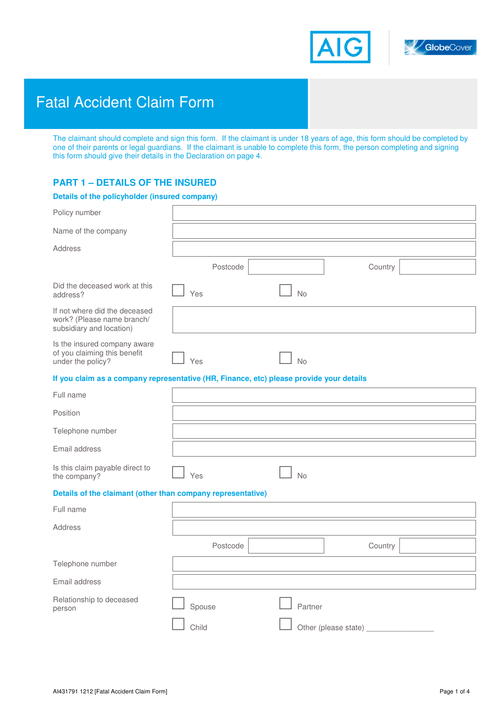



# Fatal Accident Claim Form

**GlobeCover Personal Accident & Travel Insurance** 

The claimant should complete and sign this form. If the claimant is under 18 years of age, this form should be completed by one of their parents or legal guardians. If the claimant is unable to complete this form, the person completing and signing this form should give their details in the Declaration on page 4.

# **PART 1 – DETAILS OF THE INSURED**

### **Details of the policyholder (insured company)**

| Policy number                                                                           |          |                      |         |  |
|-----------------------------------------------------------------------------------------|----------|----------------------|---------|--|
| Name of the company                                                                     |          |                      |         |  |
| Address                                                                                 |          |                      |         |  |
|                                                                                         | Postcode |                      | Country |  |
| Did the deceased work at this<br>address?                                               | Yes      | No                   |         |  |
| If not where did the deceased<br>work? (Please name branch/<br>subsidiary and location) |          |                      |         |  |
| Is the insured company aware<br>of you claiming this benefit<br>under the policy?       | Yes      | No                   |         |  |
| If you claim as a company representative (HR, Finance, etc) please provide your details |          |                      |         |  |
| Full name                                                                               |          |                      |         |  |
| Position                                                                                |          |                      |         |  |
| Telephone number                                                                        |          |                      |         |  |
| Email address                                                                           |          |                      |         |  |
| Is this claim payable direct to<br>the company?                                         | Yes      | No                   |         |  |
| Details of the claimant (other than company representative)                             |          |                      |         |  |
| Full name                                                                               |          |                      |         |  |
| <b>Address</b>                                                                          |          |                      |         |  |
|                                                                                         | Postcode |                      | Country |  |
| Telephone number                                                                        |          |                      |         |  |
| Email address                                                                           |          |                      |         |  |
| Relationship to deceased<br>person                                                      | Spouse   | Partner              |         |  |
|                                                                                         | Child    | Other (please state) |         |  |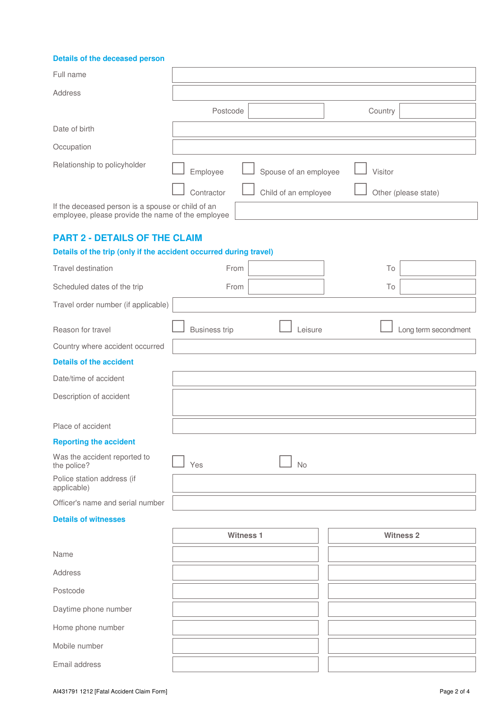## **Details of the deceased person**

| Full name                                                                                              |                      |                       |         |                      |
|--------------------------------------------------------------------------------------------------------|----------------------|-----------------------|---------|----------------------|
| Address                                                                                                |                      |                       |         |                      |
|                                                                                                        | Postcode             |                       | Country |                      |
| Date of birth                                                                                          |                      |                       |         |                      |
| Occupation                                                                                             |                      |                       |         |                      |
| Relationship to policyholder                                                                           |                      |                       |         |                      |
|                                                                                                        | Employee             | Spouse of an employee | Visitor |                      |
|                                                                                                        | Contractor           | Child of an employee  |         | Other (please state) |
| If the deceased person is a spouse or child of an<br>employee, please provide the name of the employee |                      |                       |         |                      |
| <b>PART 2 - DETAILS OF THE CLAIM</b>                                                                   |                      |                       |         |                      |
| Details of the trip (only if the accident occurred during travel)                                      |                      |                       |         |                      |
| Travel destination                                                                                     | From                 |                       | To      |                      |
| Scheduled dates of the trip                                                                            | From                 |                       | To      |                      |
| Travel order number (if applicable)                                                                    |                      |                       |         |                      |
| Reason for travel                                                                                      | <b>Business trip</b> | Leisure               |         | Long term secondment |
| Country where accident occurred                                                                        |                      |                       |         |                      |
| <b>Details of the accident</b>                                                                         |                      |                       |         |                      |
| Date/time of accident                                                                                  |                      |                       |         |                      |
| Description of accident                                                                                |                      |                       |         |                      |
| Place of accident                                                                                      |                      |                       |         |                      |
| <b>Reporting the accident</b>                                                                          |                      |                       |         |                      |
| Was the accident reported to<br>the police?                                                            | Yes                  | <b>No</b>             |         |                      |
| Police station address (if<br>applicable)                                                              |                      |                       |         |                      |
| Officer's name and serial number                                                                       |                      |                       |         |                      |
| <b>Details of witnesses</b>                                                                            |                      |                       |         |                      |
|                                                                                                        | <b>Witness 1</b>     |                       |         | <b>Witness 2</b>     |
| Name                                                                                                   |                      |                       |         |                      |
| Address                                                                                                |                      |                       |         |                      |
| Postcode                                                                                               |                      |                       |         |                      |
| Daytime phone number                                                                                   |                      |                       |         |                      |
| Home phone number                                                                                      |                      |                       |         |                      |
| Mobile number                                                                                          |                      |                       |         |                      |
| Email address                                                                                          |                      |                       |         |                      |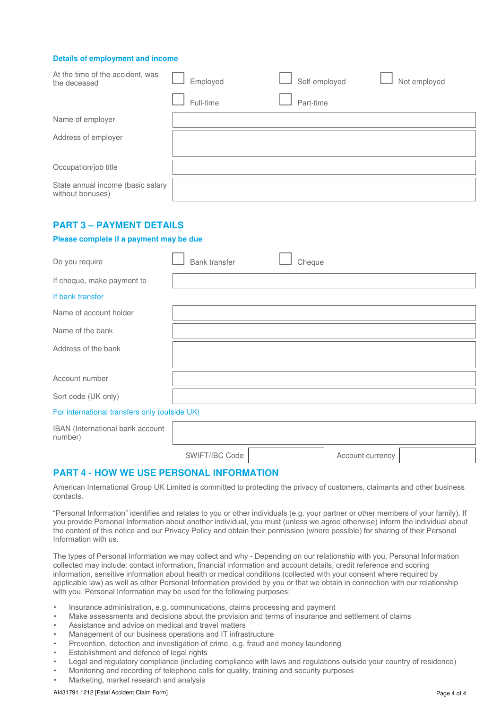#### **Details of employment and income**

| At the time of the accident, was<br>the deceased      | Employed  | Self-employed | Not employed |
|-------------------------------------------------------|-----------|---------------|--------------|
|                                                       | Full-time | Part-time     |              |
| Name of employer                                      |           |               |              |
| Address of employer                                   |           |               |              |
| Occupation/job title                                  |           |               |              |
| State annual income (basic salary<br>without bonuses) |           |               |              |

# **PART 3 – PAYMENT DETAILS**

#### **Please complete if a payment may be due**

| Do you require                                | Bank transfer | Cheque |
|-----------------------------------------------|---------------|--------|
| If cheque, make payment to                    |               |        |
| If bank transfer                              |               |        |
| Name of account holder                        |               |        |
| Name of the bank                              |               |        |
| Address of the bank                           |               |        |
| Account number                                |               |        |
| Sort code (UK only)                           |               |        |
| For international transfers only (outside UK) |               |        |

| <b>IBAN</b> (International bank account<br>number) |                |                  |  |
|----------------------------------------------------|----------------|------------------|--|
|                                                    | SWIFT/IBC Code | Account currency |  |

# **PART 4 - HOW WE USE PERSONAL INFORMATION**

American International Group UK Limited is committed to protecting the privacy of customers, claimants and other business contacts.

"Personal Information" identifies and relates to you or other individuals (e.g. your partner or other members of your family). If you provide Personal Information about another individual, you must (unless we agree otherwise) inform the individual about the content of this notice and our Privacy Policy and obtain their permission (where possible) for sharing of their Personal Information with us.

The types of Personal Information we may collect and why - Depending on our relationship with you, Personal Information collected may include: contact information, financial information and account details, credit reference and scoring information, sensitive information about health or medical conditions (collected with your consent where required by applicable law) as well as other Personal Information provided by you or that we obtain in connection with our relationship with you. Personal Information may be used for the following purposes:

- Insurance administration, e.g. communications, claims processing and payment
- Make assessments and decisions about the provision and terms of insurance and settlement of claims
- Assistance and advice on medical and travel matters
- Management of our business operations and IT infrastructure
- Prevention, detection and investigation of crime, e.g. fraud and money laundering
- Establishment and defence of legal rights
- Legal and regulatory compliance (including compliance with laws and regulations outside your country of residence)
- Monitoring and recording of telephone calls for quality, training and security purposes
- Marketing, market research and analysis

#### AI431791 1212 [Fatal Accident Claim Form] **Page 4** of 4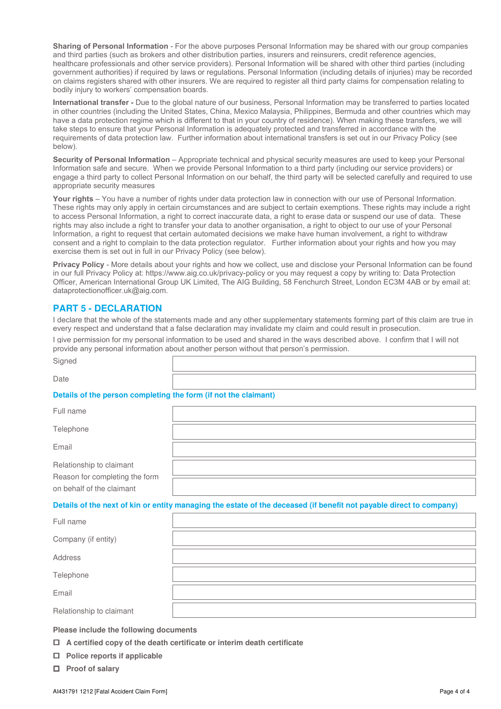**Sharing of Personal Information** - For the above purposes Personal Information may be shared with our group companies and third parties (such as brokers and other distribution parties, insurers and reinsurers, credit reference agencies, healthcare professionals and other service providers). Personal Information will be shared with other third parties (including government authorities) if required by laws or regulations. Personal Information (including details of injuries) may be recorded on claims registers shared with other insurers. We are required to register all third party claims for compensation relating to bodily injury to workers' compensation boards.

**International transfer -** Due to the global nature of our business, Personal Information may be transferred to parties located in other countries (including the United States, China, Mexico Malaysia, Philippines, Bermuda and other countries which may have a data protection regime which is different to that in your country of residence). When making these transfers, we will take steps to ensure that your Personal Information is adequately protected and transferred in accordance with the requirements of data protection law. Further information about international transfers is set out in our Privacy Policy (see below).

**Security of Personal Information** – Appropriate technical and physical security measures are used to keep your Personal Information safe and secure. When we provide Personal Information to a third party (including our service providers) or engage a third party to collect Personal Information on our behalf, the third party will be selected carefully and required to use appropriate security measures

**Your rights** – You have a number of rights under data protection law in connection with our use of Personal Information. These rights may only apply in certain circumstances and are subject to certain exemptions. These rights may include a right to access Personal Information, a right to correct inaccurate data, a right to erase data or suspend our use of data. These rights may also include a right to transfer your data to another organisation, a right to object to our use of your Personal Information, a right to request that certain automated decisions we make have human involvement, a right to withdraw consent and a right to complain to the data protection regulator. Further information about your rights and how you may exercise them is set out in full in our Privacy Policy (see below).

**Privacy Policy** - More details about your rights and how we collect, use and disclose your Personal Information can be found in our full Privacy Policy at: https://www.aig.co.uk/privacy-policy or you may request a copy by writing to: Data Protection Officer, American International Group UK Limited, The AIG Building, 58 Fenchurch Street, London EC3M 4AB or by email at: dataprotectionofficer.uk@aig.com.

# **PART 5 - DECLARATION**

I declare that the whole of the statements made and any other supplementary statements forming part of this claim are true in every respect and understand that a false declaration may invalidate my claim and could result in prosecution.

I give permission for my personal information to be used and shared in the ways described above. I confirm that I will not provide any personal information about another person without that person's permission.

| Protection of the process of consideration that forms (if we take a later cost). |  |
|----------------------------------------------------------------------------------|--|
| Date                                                                             |  |
| Signed                                                                           |  |

## **Details of the person completing the form (if not the claimant)**

| Full name                      |  |
|--------------------------------|--|
| Telephone                      |  |
| Email                          |  |
| Relationship to claimant       |  |
| Reason for completing the form |  |
| on behalf of the claimant      |  |

**Details of the next of kin or entity managing the estate of the deceased (if benefit not payable direct to company)** 

| Full name                |  |
|--------------------------|--|
| Company (if entity)      |  |
| Address                  |  |
| Telephone                |  |
| Email                    |  |
| Relationship to claimant |  |

**Please include the following documents** 

- **A certified copy of the death certificate or interim death certificate**
- **Police reports if applicable**
- **Proof of salary**